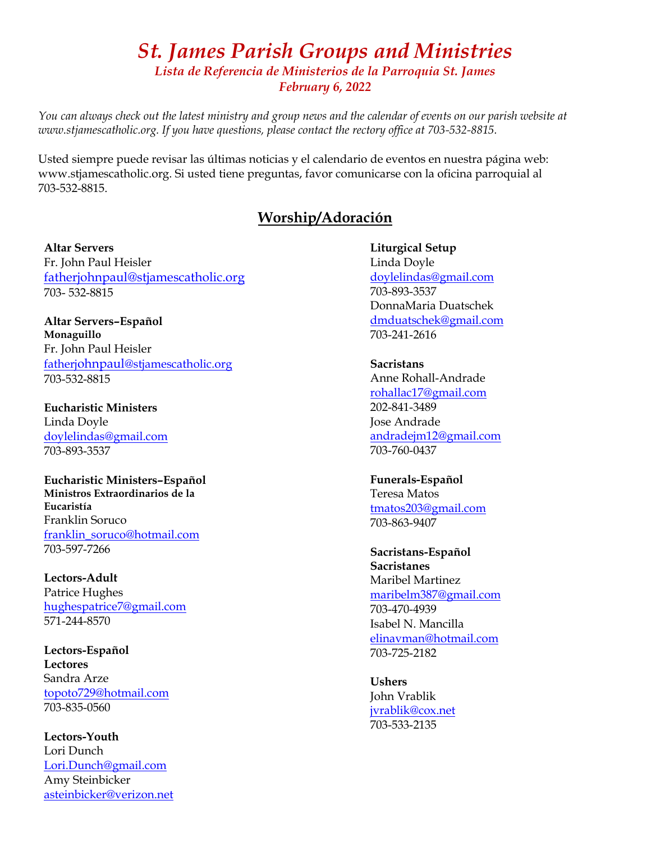## *St. James Parish Groups and Ministries Lista de Referencia de Ministerios de la Parroquia St. James February 6, 2022*

*You can always check out the latest ministry and group news and the calendar of events on our parish website at www.stjamescatholic.org. If you have questions, please contact the rectory office at 703-532-8815.* 

Usted siempre puede revisar las últimas noticias y el calendario de eventos en nuestra página web: www.stjamescatholic.org. Si usted tiene preguntas, favor comunicarse con la oficina parroquial al 703-532-8815.

### **Worship/Adoración**

#### **Altar Servers**

Fr. John Paul Heisler fatherjohnpaul@stjamescatholic.org 703- 532-8815

**Altar Servers–Español Monaguillo** Fr. John Paul Heisler fatherjohnpaul[@stjamescatholic.org](mailto:fatherjohnpaul@stjamescatholic.org) 703-532-8815

**Eucharistic Ministers** Linda Doyle [doylelindas@gmail.com](mailto:doylelindas@gmail.com) 703-893-3537

**Eucharistic Ministers–Español Ministros Extraordinarios de la Eucaristía** Franklin Soruco [franklin\\_soruco@hotmail.com](mailto:franklin_soruco@hotmail.com) 703-597-7266

**Lectors-Adult** Patrice Hughes [hughespatrice7@gmail.com](mailto:hughespatrice7@gmail.com) 571-244-8570

**Lectors-Español Lectores** Sandra Arze [topoto729@hotmail.com](mailto:topoto729@hotmail.com) 703-835-0560

**Lectors-Youth** Lori Dunch [Lori.Dunch@gmail.com](mailto:Lori.Dunch@gmail.com) Amy Steinbicker asteinbicker@verizon.net **Liturgical Setup** Linda Doyle [doylelindas@gmail.com](mailto:doylelindas@gmail.com) 703-893-3537 DonnaMaria Duatschek [dmduatschek@gmail.com](mailto:dmduatschek@gmail.com) 703-241-2616

**Sacristans** Anne Rohall-Andrade [rohallac17@gmail.com](mailto:rohallac17@gmail.com) 202-841-3489 Jose Andrade [andradejm12@gmail.com](mailto:andradejm12@gmail.com) 703-760-0437

**Funerals-Español** Teresa Matos [tmatos203@gmail.com](mailto:tmatos203@gmail.com) 703-863-9407

**Sacristans-Español Sacristanes** Maribel Martinez [maribelm387@gmail.com](mailto:maribelm387@gmail.com) 703-470-4939 Isabel N. Mancilla [elinavman@hotmail.com](mailto:elinavman@hotmail.com) 703-725-2182

**Ushers** John Vrablik [jvrablik@cox.net](mailto:jvrablik@cox.net) 703-533-2135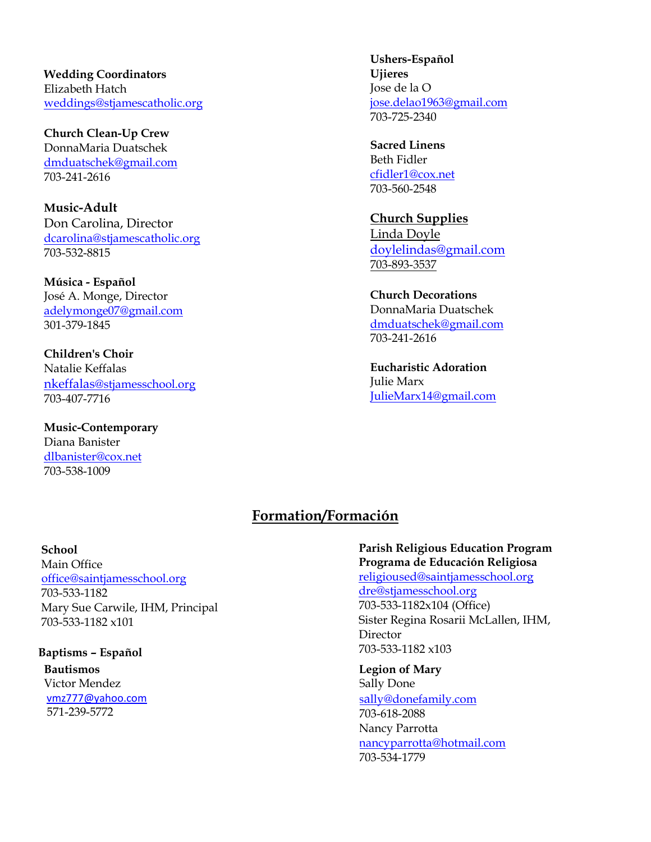**Wedding Coordinators** Elizabeth Hatch [weddings@stjamescatholic.org](mailto:weddings@stjamescatholic.org)

**Church Clean-Up Crew**  DonnaMaria Duatschek [dmduatschek@gmail.com](mailto:dmduatschek@gmail.com) 703-241-2616

**Music-Adult** Don Carolina, Director [dcarolina@stjamescatholic.org](mailto:dcarolina@stjamescatholic.org) 703-532-8815

**Música - Español** José A. Monge, Director [adelymonge07@gmail.com](mailto:adelymonge07@gmail.com) 301-379-1845

**Children's Choir** Natalie Keffalas [nkeffalas](mailto:nkeffalas@stjamesschool.org)[@stjamesschool.org](mailto:nkeffalas@stjamesschool.org) 703-407-7716

**Music-Contemporary** Diana Banister [dlbanister@cox.net](mailto:dlbanister@cox.net) 703-538-1009

**Ushers-Español Ujieres** Jose de la O [jose.delao1963@gmail.com](mailto:jose.delao1963@gmail.com) 703-725-2340

**Sacred Linens** Beth Fidler [cfidler1@cox.net](mailto:cfidler1@cox.net) 703-560-2548

**Church Supplies**  Linda Doyle [doylelindas@gmail.com](mailto:doylelindas@gmail.com) 703-893-3537

**Church Decorations** DonnaMaria Duatschek [dmduatschek@gmail.com](mailto:dmduatschek@gmail.com) 703-241-2616

**Eucharistic Adoration** Julie Marx [JulieMarx14@gmail.com](mailto:JulieMarx14@gmail.com)

## **Formation/Formación**

#### **School**

Main Office [office@saintjamesschool.org](mailto:office@saintjamesschool.org) 703-533-1182 Mary Sue Carwile, IHM, Principal 703-533-1182 x101

**Baptisms – Español Bautismos** Victor Mendez [vmz777@yahoo.com](mailto:vmz777@yahoo.com) 571-239-5772

**Parish Religious Education Program Programa de Educación Religiosa** [religioused@saintjamesschool.org](mailto:religioused@saintjamesschool.org) [dre@stjamesschool.org](mailto:dre@stjamesschool.org) 703-533-1182x104 (Office) Sister Regina Rosarii McLallen, IHM, Director

703-533-1182 x103

**Legion of Mary** 

Sally Done sa[lly@donefamily.com](mailto:sally@donefamily.com) 703-618-2088 Nancy Parrotta [nancyparrotta@hotmail.com](mailto:nancyparrotta@hotmail.com) 703-534-1779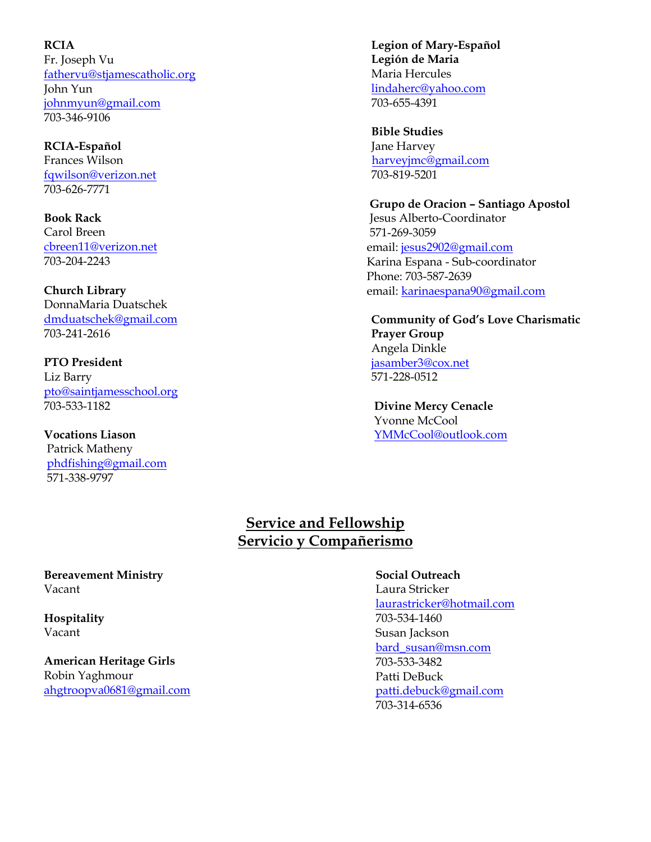**RCIA**  Fr. Joseph Vu [fathervu@stjamescatholic.org](mailto:fathervu@stjamescatholic.org) John Yun [johnmyun@gmail.com](mailto:johnmyun@gmail.com) 703-346-9106

**RCIA-Español** Frances Wilson [fqwilson@verizon.net](mailto:fqwilson@verizon.net) 703-626-7771

**Book Rack**  Carol Breen [cbreen11@verizon.net](mailto:cbreen11@verizon.net) 703-204-2243

**Church Library**  DonnaMaria Duatschek [dmduatschek@gmail.com](mailto:dmduatschek@gmail.com) 703-241-2616

**PTO President**  Liz Barry [pto@saintjamesschool.org](mailto:pto@saintjamesschool.org) 703-533-1182

**Vocations Liason** Patrick Matheny [phdfishing@gmail.com](mailto:phdfishing@gmail.com) 571-338-9797

 **Legion of Mary-Español Legión de Maria** Maria Hercules [lindaherc@yahoo.com](mailto:lindaherc@yahoo.com) 703-655-4391

 **Bible Studies**  Jane Harvey [harveyjmc@gmail.com](mailto:harveyjmc@gmail.com) 703-819-5201

 **Grupo de Oracion – Santiago Apostol** Jesus Alberto-Coordinator 571-269-3059 email: [jesus2902@gmail.com](https://mail.stjamescatholic.org/owa/redir.aspx?C=TY1avtfJmri1t1J9NnNnplTPqnw-w9MIIlQ2dsYl3a7GkzdB2b3ZCA..&URL=mailto%3ajesus2902%40gmail.com) Karina Espana - Sub-coordinator Phone: 703-587-2639 email: [karinaespana90@gmail.com](https://mail.stjamescatholic.org/owa/redir.aspx?C=GgdkQ60BTcNDaZiQBKnoWuVA_7mskZw1kb9Uw_rCc7DGkzdB2b3ZCA..&URL=mailto%3akarinaespana90%40gmail.com)

**Community of God's Love Charismatic Prayer Group**  Angela Dinkle [jasamber3@cox.net](mailto:jasamber3@cox.net) 571-228-0512

 **Divine Mercy Cenacle** Yvonne McCool [YMMcCool@outlook.com](mailto:YMMcCool@outlook.com)

## **Service and Fellowship Servicio y Compañerismo**

**Bereavement Ministry** Vacant

**Hospitality** Vacant

**American Heritage Girls**  Robin Yaghmour [ahgtroopva0681@gmail.com](mailto:ahgtroopva0681@gmail.com)

### **Social Outreach**

Laura Stricker [laurastricker@hotmail.com](mailto:laurastricker@hotmail.com) 703-534-1460 Susan Jackson [bard\\_susan@msn.com](mailto:bard_susan@msn.com) 703-533-3482 Patti DeBuck [patti.debuck@gmail.com](mailto:patti.debuck@gmail.com) 703-314-6536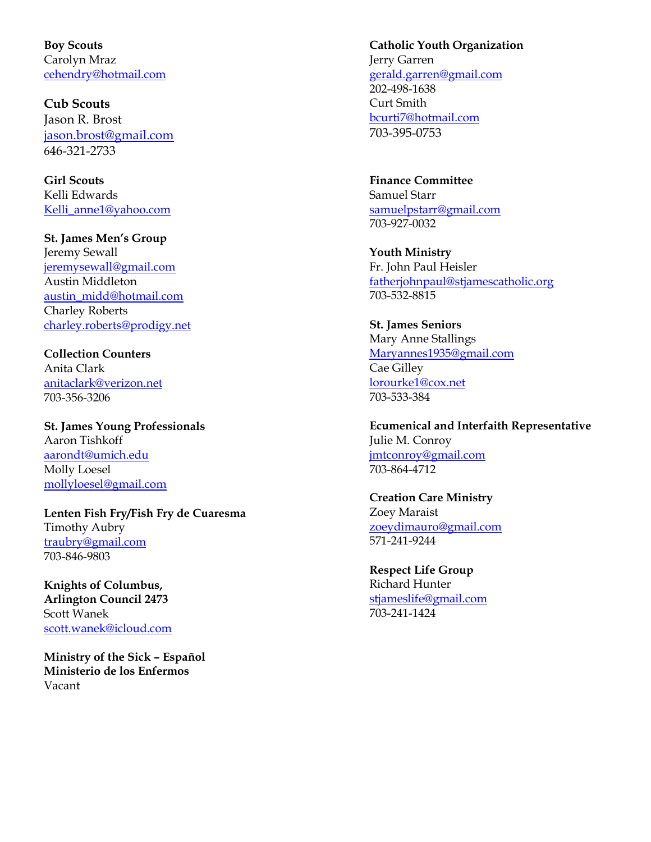**Boy Scouts** Carolyn Mraz [cehendry@hotmail.com](mailto:cehendry@hotmail.com)

**Cub Scouts** Jason R. Brost [jason.brost@gmail.com](mailto:jason.brost@gmail.com) 646-321-2733

**Girl Scouts**  Kelli Edwards [Kelli\\_anne1@yahoo.com](mailto:Kelli_anne1@yahoo.com)

**St. James Men's Group** Jeremy Sewall [jeremysewall@gmail.com](mailto:jeremysewall@gmail.com) Austin Middleton [austin\\_midd@hotmail.com](mailto:austin_midd@hotmail.com) Charley Roberts [charley.roberts@prodigy.net](mailto:charley.roberts@prodigy.net)

**Collection Counters** Anita Clark [anitaclark@verizon.net](mailto:anitaclark@verizon.net) 703-356-3206

**St. James Young Professionals** Aaron Tishkoff [aarondt@umich.edu](mailto:aarondt@umich.edu) Molly Loesel [mollyloesel@gmail.com](mailto:mollyloesel@gmail.com)

**Lenten Fish Fry/Fish Fry de Cuaresma** Timothy Aubry [traubry@gmail.com](mailto:traubry@gmail.com) 703-846-9803

**Knights of Columbus, Arlington Council 2473** Scott Wanek [scott.wanek@icloud.com](mailto:scott.wanek@icloud.com)

**Ministry of the Sick – Español Ministerio de los Enfermos** Vacant

#### **Catholic Youth Organization**

Jerry Garren [gerald.garren@gmail.com](mailto:gerald.garren@gmail.com) 202-498-1638 Curt Smith [bcurti7@hotmail.com](mailto:bcurti7@hotmail.com) 703-395-0753

**Finance Committee**  Samuel Starr [samuelpstarr@gmail.com](mailto:samuelpstarr@gmail.com) 703-927-0032

**Youth Ministry**  Fr. John Paul Heisler [fatherjohnpaul@stjamescatholic.org](mailto:fatherjohnpaul@stjamescatholic.org)  703-532-8815

**St. James Seniors** Mary Anne Stallings [Maryannes1935@gmail.com](mailto:Maryannes1935@gmail.com) Cae Gilley [lorourke1@cox.net](mailto:lorourke1@cox.net) 703-533-384

**Ecumenical and Interfaith Representative** Julie M. Conroy [jmtconroy@gmail.com](mailto:jmtconroy@gmail.com) 703-864-4712

**Creation Care Ministry** Zoey Maraist [zoeydimauro@gmail.com](mailto:zoeydimauro@gmail.com) 571-241-9244

**Respect Life Group** Richard Hunter [stjameslife@gmail.com](mailto:stjameslife@gmail.com) 703-241-1424